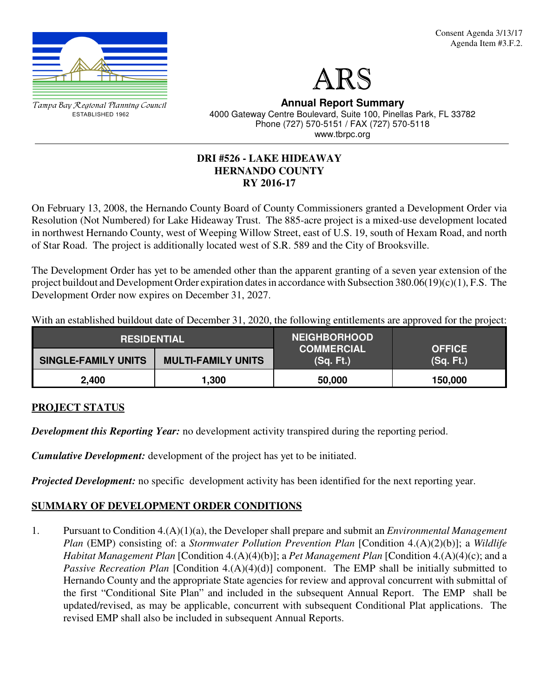



Tampa Bay Regional Planning Council ESTABLISHED 1962

**Annual Report Summary** 4000 Gateway Centre Boulevard, Suite 100, Pinellas Park, FL 33782 Phone (727) 570-5151 / FAX (727) 570-5118 www.tbrpc.org

# **DRI #526 - LAKE HIDEAWAY HERNANDO COUNTY RY 2016-17**

On February 13, 2008, the Hernando County Board of County Commissioners granted a Development Order via Resolution (Not Numbered) for Lake Hideaway Trust. The 885-acre project is a mixed-use development located in northwest Hernando County, west of Weeping Willow Street, east of U.S. 19, south of Hexam Road, and north of Star Road. The project is additionally located west of S.R. 589 and the City of Brooksville.

The Development Order has yet to be amended other than the apparent granting of a seven year extension of the project buildout and Development Order expiration dates in accordance with Subsection 380.06(19)(c)(1), F.S. The Development Order now expires on December 31, 2027.

With an established buildout date of December 31, 2020, the following entitlements are approved for the project:

| <b>RESIDENTIAL</b>         |                           | <b>NEIGHBORHOOD</b>            |                            |  |
|----------------------------|---------------------------|--------------------------------|----------------------------|--|
| <b>SINGLE-FAMILY UNITS</b> | <b>MULTI-FAMILY UNITS</b> | <b>COMMERCIAL</b><br>(Sq. Ft.) | <b>OFFICE</b><br>(Sq. Ft.) |  |
| 2,400                      | 1,300                     | 50,000                         | 150,000                    |  |

# **PROJECT STATUS**

*Development this Reporting Year:* no development activity transpired during the reporting period.

*Cumulative Development:* development of the project has yet to be initiated.

*Projected Development:* no specific development activity has been identified for the next reporting year.

# **SUMMARY OF DEVELOPMENT ORDER CONDITIONS**

1. Pursuant to Condition 4.(A)(1)(a), the Developer shall prepare and submit an *Environmental Management Plan* (EMP) consisting of: a *Stormwater Pollution Prevention Plan* [Condition 4.(A)(2)(b)]; a *Wildlife Habitat Management Plan* [Condition 4.(A)(4)(b)]; a *Pet Management Plan* [Condition 4.(A)(4)(c); and a *Passive Recreation Plan* [Condition 4.(A)(4)(d)] component. The EMP shall be initially submitted to Hernando County and the appropriate State agencies for review and approval concurrent with submittal of the first "Conditional Site Plan" and included in the subsequent Annual Report. The EMP shall be updated/revised, as may be applicable, concurrent with subsequent Conditional Plat applications. The revised EMP shall also be included in subsequent Annual Reports.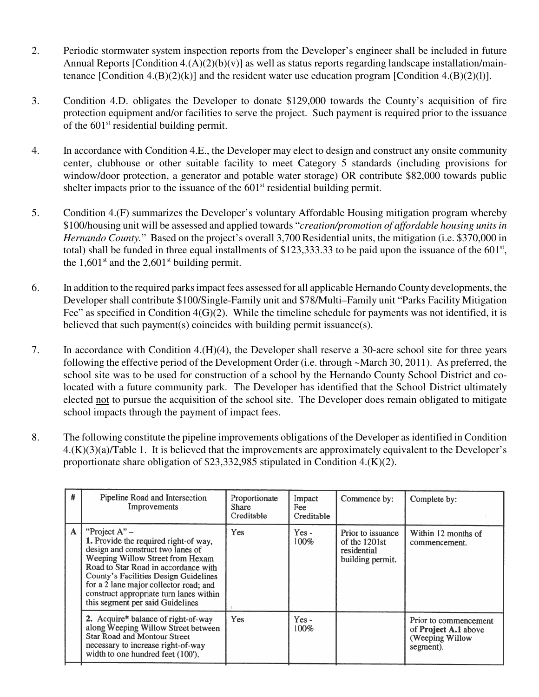- 2. Periodic stormwater system inspection reports from the Developer's engineer shall be included in future Annual Reports [Condition  $4.(A)(2)(b)(v)$ ] as well as status reports regarding landscape installation/maintenance [Condition 4.(B)(2)(k)] and the resident water use education program [Condition 4.(B)(2)(1)].
- 3. Condition 4.D. obligates the Developer to donate \$129,000 towards the County's acquisition of fire protection equipment and/or facilities to serve the project. Such payment is required prior to the issuance of the  $601<sup>st</sup>$  residential building permit.
- 4. In accordance with Condition 4.E., the Developer may elect to design and construct any onsite community center, clubhouse or other suitable facility to meet Category 5 standards (including provisions for window/door protection, a generator and potable water storage) OR contribute \$82,000 towards public shelter impacts prior to the issuance of the  $601<sup>st</sup>$  residential building permit.
- 5. Condition 4.(F) summarizes the Developer's voluntary Affordable Housing mitigation program whereby \$100/housing unit will be assessed and applied towards "*creation/promotion of affordable housing units in Hernando County.*" Based on the project's overall 3,700 Residential units, the mitigation (i.e. \$370,000 in total) shall be funded in three equal installments of \$123,333.33 to be paid upon the issuance of the  $601<sup>st</sup>$ , the  $1,601$ <sup>st</sup> and the  $2,601$ <sup>st</sup> building permit.
- 6. In addition to the required parks impact fees assessed for all applicable Hernando County developments, the Developer shall contribute \$100/Single-Family unit and \$78/Multi–Family unit "Parks Facility Mitigation Fee" as specified in Condition 4(G)(2). While the timeline schedule for payments was not identified, it is believed that such payment(s) coincides with building permit issuance(s).
- 7. In accordance with Condition 4.(H)(4), the Developer shall reserve a 30-acre school site for three years following the effective period of the Development Order (i.e. through ~March 30, 2011). As preferred, the school site was to be used for construction of a school by the Hernando County School District and colocated with a future community park. The Developer has identified that the School District ultimately elected not to pursue the acquisition of the school site. The Developer does remain obligated to mitigate school impacts through the payment of impact fees.
- 8. The following constitute the pipeline improvements obligations of the Developer as identified in Condition 4.(K)(3)(a)/Table 1. It is believed that the improvements are approximately equivalent to the Developer's proportionate share obligation of \$23,332,985 stipulated in Condition 4.(K)(2).

| # | Pipeline Road and Intersection<br>Improvements                                                                                                                                                                                                                                                                                              | Proportionate<br>Share<br>Creditable | Impact<br>Fee<br>Creditable | Commence by:                                                            | Complete by:                                                                         |
|---|---------------------------------------------------------------------------------------------------------------------------------------------------------------------------------------------------------------------------------------------------------------------------------------------------------------------------------------------|--------------------------------------|-----------------------------|-------------------------------------------------------------------------|--------------------------------------------------------------------------------------|
| A | "Project $A" -$<br>1. Provide the required right-of way,<br>design and construct two lanes of<br>Weeping Willow Street from Hexam<br>Road to Star Road in accordance with<br>County's Facilities Design Guidelines<br>for a 2 lane major collector road; and<br>construct appropriate turn lanes within<br>this segment per said Guidelines | Yes                                  | Yes -<br>100%               | Prior to issuance<br>of the $1201st$<br>residential<br>building permit. | Within 12 months of<br>commencement.                                                 |
|   | 2. Acquire* balance of right-of-way<br>along Weeping Willow Street between<br><b>Star Road and Montour Street</b><br>necessary to increase right-of-way<br>width to one hundred feet (100').                                                                                                                                                | Yes                                  | $Yes -$<br>100%             |                                                                         | Prior to commencement<br>of <b>Project A.1</b> above<br>(Weeping Willow<br>segment). |